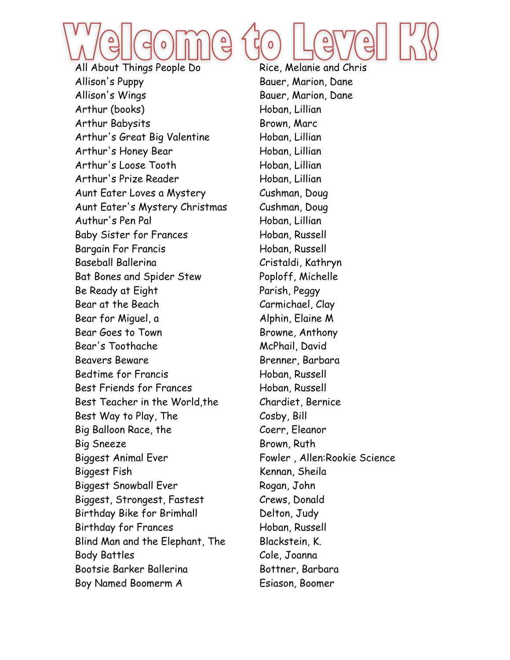

Allison's Puppy Bauer, Marion, Dane Allison's Wings **Bauer**, Marion, Dane Arthur (books) Hoban, Lillian Arthur Babysits Brown, Marc Arthur's Great Big Valentine Hoban, Lillian Arthur's Honey Bear Hoban, Lillian Arthur's Loose Tooth Hoban, Lillian Arthur's Prize Reader Hoban, Lillian Aunt Eater Loves a Mystery Cushman, Doug Aunt Eater's Mystery Christmas Cushman, Doug Authur's Pen Pal Hoban, Lillian Baby Sister for Frances Hoban, Russell Bargain For Francis Hoban, Russell Baseball Ballerina Cristaldi, Kathryn Bat Bones and Spider Stew Poploff, Michelle Be Ready at Eight Parish, Peggy Bear at the Beach Carmichael, Clay Bear for Miguel, a and Alphin, Elaine M Bear Goes to Town Browne, Anthony Bear's Toothache McPhail, David Beavers Beware **Brenner**, Barbara Bedtime for Francis Hoban, Russell Best Friends for Frances Hoban, Russell Best Teacher in the World,the Chardiet, Bernice Best Way to Play, The Cosby, Bill Big Balloon Race, the Coerr, Eleanor Big Sneeze Brown, Ruth Biggest Animal Ever Fowler, Allen:Rookie Science Biggest Fish Kennan, Sheila Biggest Snowball Ever Rogan, John Biggest, Strongest, Fastest Crews, Donald Birthday Bike for Brimhall Delton, Judy Birthday for Frances Hoban, Russell Blind Man and the Elephant, The Blackstein, K. Body Battles Cole, Joanna Bootsie Barker Ballerina Bottner, Barbara Boy Named Boomerm A Esiason, Boomer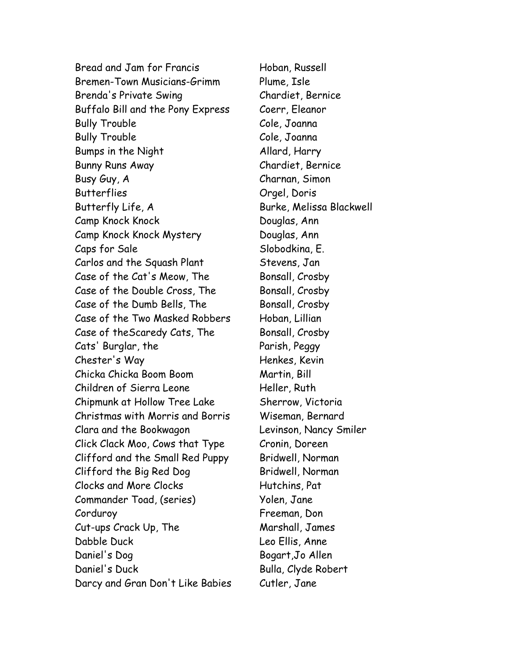Bread and Jam for Francis Hoban, Russell Bremen-Town Musicians-Grimm Plume, Isle Brenda's Private Swing Chardiet, Bernice Buffalo Bill and the Pony Express Coerr, Eleanor Bully Trouble Cole, Joanna Bully Trouble **Cole**, Joanna Bumps in the Night Allard, Harry Bunny Runs Away Chardiet, Bernice Busy Guy, A Charnan, Simon Butterflies Orgel, Doris Butterfly Life, A Burke, Melissa Blackwell Camp Knock Knock Douglas, Ann Camp Knock Knock Mystery Douglas, Ann Caps for Sale Slobodkina, E. Carlos and the Squash Plant Stevens, Jan Case of the Cat's Meow, The Bonsall, Crosby Case of the Double Cross, The Bonsall, Crosby Case of the Dumb Bells, The Bonsall, Crosby Case of the Two Masked Robbers Hoban, Lillian Case of theScaredy Cats, The Bonsall, Crosby Cats' Burglar, the Parish, Peggy Chester's Way **Henkes**, Kevin Chicka Chicka Boom Boom Martin, Bill Children of Sierra Leone Heller, Ruth Chipmunk at Hollow Tree Lake Sherrow, Victoria Christmas with Morris and Borris Wiseman, Bernard Clara and the Bookwagon Levinson, Nancy Smiler Click Clack Moo, Cows that Type Cronin, Doreen Clifford and the Small Red Puppy Bridwell, Norman Clifford the Big Red Dog Bridwell, Norman Clocks and More Clocks Hutchins, Pat Commander Toad, (series) Yolen, Jane Corduroy Freeman, Don Cut-ups Crack Up, The Marshall, James Dabble Duck Leo Ellis, Anne Daniel's Dog Bogart,Jo Allen Daniel's Duck Bulla, Clyde Robert Darcy and Gran Don't Like Babies Cutler, Jane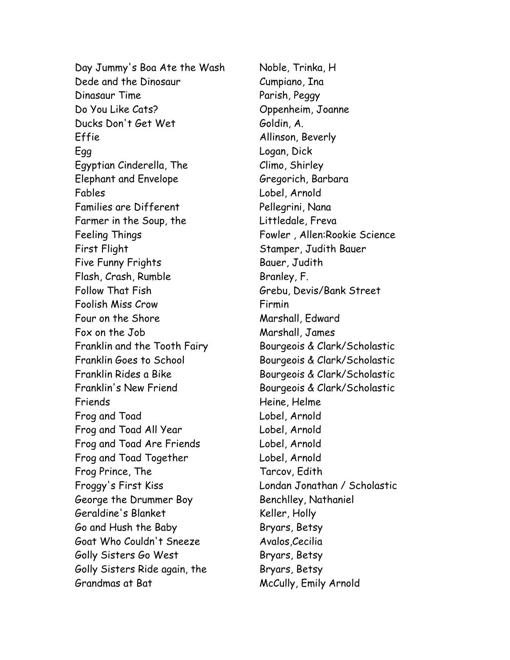Day Jummy's Boa Ate the Wash Noble, Trinka, H Dede and the Dinosaur Cumpiano, Ina Dinasaur Time **Parish, Peggy** Do You Like Cats? Oppenheim, Joanne Ducks Don't Get Wet Goldin, A. Effie Allinson, Beverly Egg Logan, Dick Egyptian Cinderella, The Climo, Shirley Elephant and Envelope Gregorich, Barbara Fables Lobel, Arnold Families are Different Pellegrini, Nana Farmer in the Soup, the Eittledale, Freva Feeling Things Fowler , Allen:Rookie Science First Flight Stamper, Judith Bauer Five Funny Frights **Bauer**, Judith Flash, Crash, Rumble Branley, F. Follow That Fish Grebu, Devis/Bank Street Foolish Miss Crow Firmin Four on the Shore **Marshall**, Edward Fox on the Job Marshall, James Franklin and the Tooth Fairy Bourgeois & Clark/Scholastic Franklin Goes to School Bourgeois & Clark/Scholastic Franklin Rides a Bike Bourgeois & Clark/Scholastic Franklin's New Friend Bourgeois & Clark/Scholastic Friends Heine, Helme Frog and Toad Lobel, Arnold Frog and Toad All Year Lobel, Arnold Frog and Toad Are Friends Lobel, Arnold Frog and Toad Together Lobel, Arnold Frog Prince, The Tarcov, Edith Froggy's First Kiss Londan Jonathan / Scholastic George the Drummer Boy Benchlley, Nathaniel Geraldine's Blanket Keller, Holly Go and Hush the Baby Bryars, Betsy Goat Who Couldn't Sneeze Avalos, Cecilia Golly Sisters Go West Bryars, Betsy Golly Sisters Ride again, the Bryars, Betsy Grandmas at Bat McCully, Emily Arnold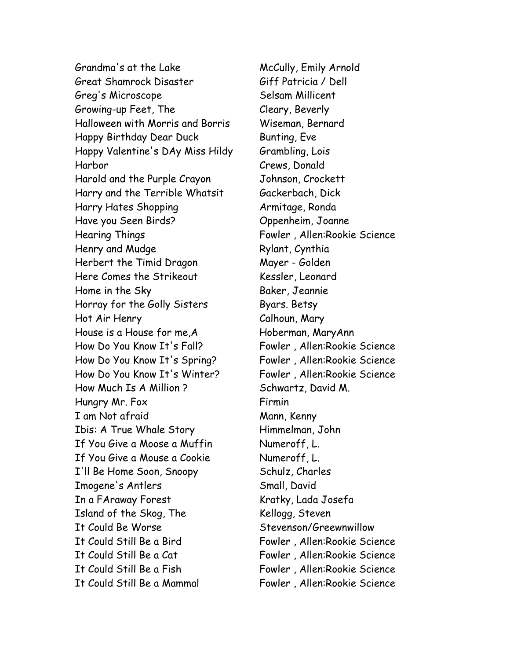Grandma's at the Lake McCully, Emily Arnold Great Shamrock Disaster Giff Patricia / Dell Greg's Microscope Selsam Millicent Growing-up Feet, The Cleary, Beverly Halloween with Morris and Borris Wiseman, Bernard Happy Birthday Dear Duck Bunting, Eve Happy Valentine's DAy Miss Hildy Grambling, Lois Harbor Crews, Donald Harold and the Purple Crayon Johnson, Crockett Harry and the Terrible Whatsit Gackerbach, Dick Harry Hates Shopping The Marmitage, Ronda Have you Seen Birds? Oppenheim, Joanne Hearing Things Fowler, Allen:Rookie Science Henry and Mudge Rylant, Cynthia Herbert the Timid Dragon Mayer - Golden Here Comes the Strikeout Kessler, Leonard Home in the Sky Baker, Jeannie Horray for the Golly Sisters Byars. Betsy Hot Air Henry Calhoun, Mary House is a House for me, A France Hoberman, Mary Ann How Do You Know It's Fall? Fowler, Allen:Rookie Science How Do You Know It's Spring? Fowler , Allen:Rookie Science How Do You Know It's Winter? Fowler , Allen:Rookie Science How Much Is A Million ? Schwartz, David M. Hungry Mr. Fox **Firmin** I am Not afraid Mann, Kenny Ibis: A True Whale Story Himmelman, John If You Give a Moose a Muffin Numeroff, L. If You Give a Mouse a Cookie Numeroff, L. I'll Be Home Soon, Snoopy Schulz, Charles Imogene's Antlers Small, David In a FAraway Forest Kratky, Lada Josefa Island of the Skog, The Kellogg, Steven It Could Be Worse Stevenson/Greewnwillow It Could Still Be a Bird Fowler , Allen:Rookie Science It Could Still Be a Cat Fowler , Allen:Rookie Science It Could Still Be a Fish Fowler , Allen:Rookie Science It Could Still Be a Mammal Fowler , Allen:Rookie Science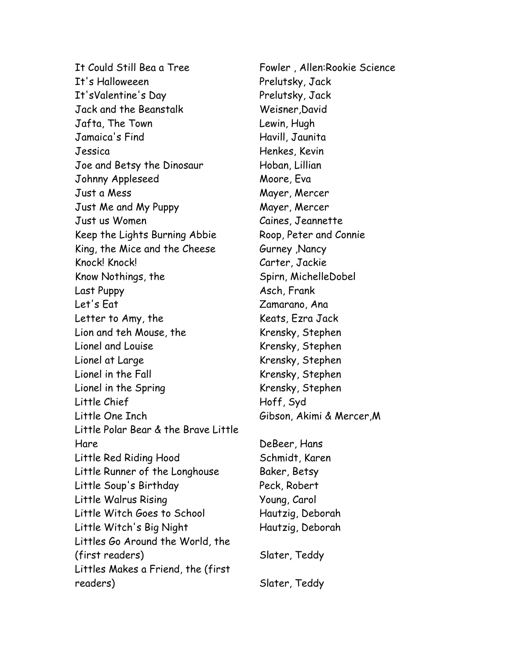It Could Still Bea a Tree Fowler , Allen:Rookie Science It's Halloweeen Prelutsky, Jack It'sValentine's Day Prelutsky, Jack Jack and the Beanstalk Weisner,David Jafta, The Town Lewin, Hugh Jamaica's Find Havill, Jaunita Jessica Henkes, Kevin Joe and Betsy the Dinosaur Hoban, Lillian Johnny Appleseed Moore, Eva Just a Mess Mayer, Mercer Just Me and My Puppy Mayer, Mercer Just us Women Caines, Jeannette Keep the Lights Burning Abbie Roop, Peter and Connie King, the Mice and the Cheese **Gurney**, Nancy Knock! Knock! Carter, Jackie Know Nothings, the Spirn, MichelleDobel Last Puppy **Asch, Frank** Let's Eat Zamarano, Ana Letter to Amy, the Keats, Ezra Jack Lion and teh Mouse, the Krensky, Stephen Lionel and Louise **Krensky, Stephen** Lionel at Large Krensky, Stephen Lionel in the Fall **Easile Exercise Stephen** Krensky, Stephen Lionel in the Spring Krensky, Stephen Little Chief North Hoff, Syd Little One Inch Gibson, Akimi & Mercer,M Little Polar Bear & the Brave Little Hare DeBeer, Hans Little Red Riding Hood Schmidt, Karen Little Runner of the Longhouse Baker, Betsy Little Soup's Birthday Peck, Robert Little Walrus Rising The Moung, Carol Little Witch Goes to School Hautzig, Deborah Little Witch's Big Night Hautzig, Deborah Littles Go Around the World, the (first readers) Slater, Teddy Littles Makes a Friend, the (first readers) Slater, Teddy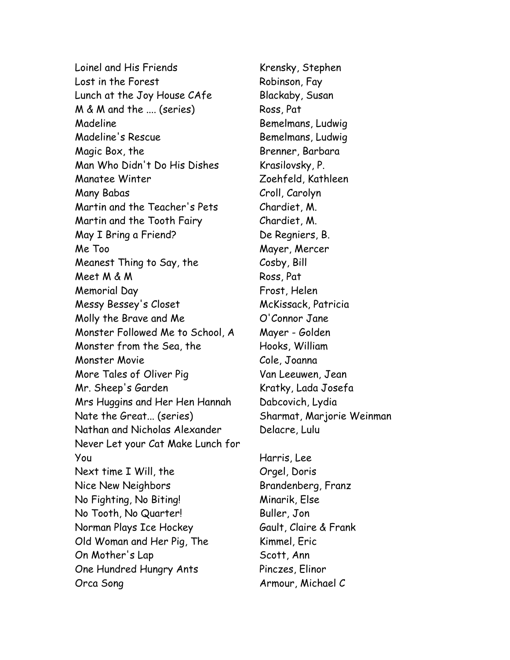Loinel and His Friends Krensky, Stephen Lost in the Forest Robinson, Fay Lunch at the Joy House CAfe Blackaby, Susan M & M and the .... (series) Ross, Pat Madeline **Bemelmans, Ludwig** Madeline's Rescue Bemelmans, Ludwig Magic Box, the Brenner, Barbara Man Who Didn't Do His Dishes Krasilovsky, P. Manatee Winter Zoehfeld, Kathleen Many Babas Croll, Carolyn Martin and the Teacher's Pets Chardiet, M. Martin and the Tooth Fairy Chardiet, M. May I Bring a Friend? De Regniers, B. Me Too Mayer, Mercer Meanest Thing to Say, the Cosby, Bill Meet M & M Ross, Pat Memorial Day **Frost, Helen** Messy Bessey's Closet McKissack, Patricia Molly the Brave and Me  $O'$ Connor Jane Monster Followed Me to School, A Mayer - Golden Monster from the Sea, the Hooks, William Monster Movie Cole, Joanna More Tales of Oliver Pig Van Leeuwen, Jean Mr. Sheep's Garden Kratky, Lada Josefa Mrs Huggins and Her Hen Hannah Dabcovich, Lydia Nate the Great... (series) Sharmat, Marjorie Weinman Nathan and Nicholas Alexander Delacre, Lulu Never Let your Cat Make Lunch for You Harris, Lee Next time I Will, the **Orgel, Doris** Nice New Neighbors Brandenberg, Franz No Fighting, No Biting! Minarik, Else No Tooth, No Quarter! Buller, Jon Norman Plays Ice Hockey Gault, Claire & Frank Old Woman and Her Pig, The Kimmel, Eric On Mother's Lap Scott, Ann One Hundred Hungry Ants Pinczes, Elinor Orca Song and Armour, Michael C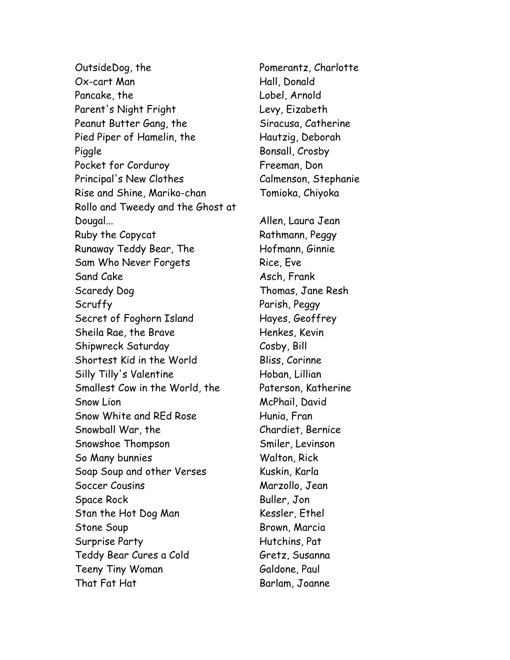OutsideDog, the Pomerantz, Charlotte Ox-cart Man Hall, Donald Pancake, the Lobel, Arnold Parent's Night Fright Levy, Eizabeth Peanut Butter Gang, the Siracusa, Catherine Pied Piper of Hamelin, the Hautzig, Deborah Piggle Bonsall, Crosby Pocket for Corduroy **Figure 1** Freeman, Don Principal's New Clothes Calmenson, Stephanie Rise and Shine, Mariko-chan Tomioka, Chiyoka Rollo and Tweedy and the Ghost at Dougal... Allen, Laura Jean Ruby the Copycat Rathmann, Peggy Runaway Teddy Bear, The Hofmann, Ginnie Sam Who Never Forgets Rice, Eve Sand Cake Asch, Frank Scaredy Dog Thomas, Jane Resh Scruffy Parish, Peggy Secret of Foghorn Island Hayes, Geoffrey Sheila Rae, the Brave **Henkes, Kevin** Shipwreck Saturday Cosby, Bill Shortest Kid in the World Bliss, Corinne Silly Tilly's Valentine Hoban, Lillian Smallest Cow in the World, the Paterson, Katherine Snow Lion **McPhail**, David Snow White and REd Rose Hunia, Fran Snowball War, the Chardiet, Bernice Snowshoe Thompson Smiler, Levinson So Many bunnies Walton, Rick Soap Soup and other Verses Kuskin, Karla Soccer Cousins Marzollo, Jean Space Rock Buller, Jon Stan the Hot Dog Man Kessler, Ethel Stone Soup **Brown, Marcia** Surprise Party **Hutchins, Pat** Teddy Bear Cures a Cold Gretz, Susanna Teeny Tiny Woman Galdone, Paul That Fat Hat Barlam, Joanne